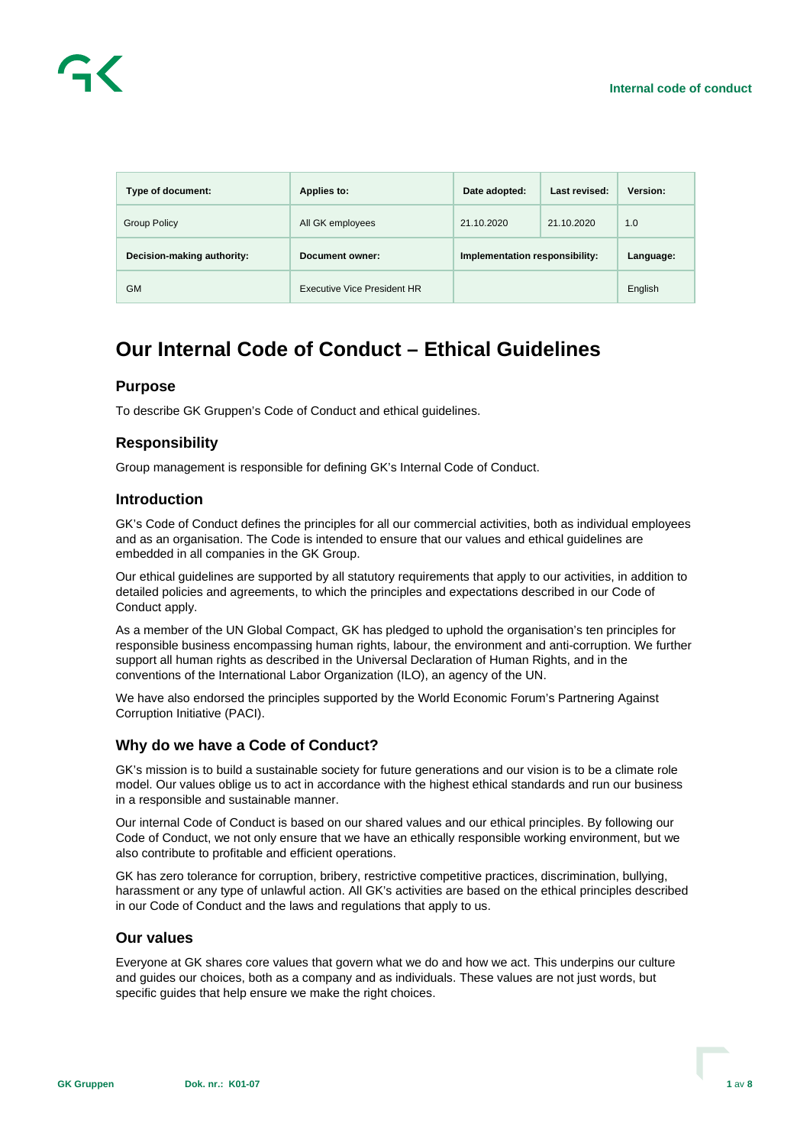

| Type of document:          | Applies to:                 | Date adopted:                  | Last revised: | Version:  |
|----------------------------|-----------------------------|--------------------------------|---------------|-----------|
| <b>Group Policy</b>        | All GK employees            | 21.10.2020                     | 21.10.2020    | 1.0       |
| Decision-making authority: | Document owner:             | Implementation responsibility: |               | Language: |
| GМ                         | Executive Vice President HR |                                |               | English   |

# **Our Internal Code of Conduct – Ethical Guidelines**

# **Purpose**

To describe GK Gruppen's Code of Conduct and ethical guidelines.

## **Responsibility**

Group management is responsible for defining GK's Internal Code of Conduct.

# **Introduction**

GK's Code of Conduct defines the principles for all our commercial activities, both as individual employees and as an organisation. The Code is intended to ensure that our values and ethical guidelines are embedded in all companies in the GK Group.

Our ethical guidelines are supported by all statutory requirements that apply to our activities, in addition to detailed policies and agreements, to which the principles and expectations described in our Code of Conduct apply.

As a member of the UN Global Compact, GK has pledged to uphold the organisation's ten principles for responsible business encompassing human rights, labour, the environment and anti-corruption. We further support all human rights as described in the Universal Declaration of Human Rights, and in the conventions of the International Labor Organization (ILO), an agency of the UN.

We have also endorsed the principles supported by the World Economic Forum's Partnering Against Corruption Initiative (PACI).

# **Why do we have a Code of Conduct?**

GK's mission is to build a sustainable society for future generations and our vision is to be a climate role model. Our values oblige us to act in accordance with the highest ethical standards and run our business in a responsible and sustainable manner.

Our internal Code of Conduct is based on our shared values and our ethical principles. By following our Code of Conduct, we not only ensure that we have an ethically responsible working environment, but we also contribute to profitable and efficient operations.

GK has zero tolerance for corruption, bribery, restrictive competitive practices, discrimination, bullying, harassment or any type of unlawful action. All GK's activities are based on the ethical principles described in our Code of Conduct and the laws and regulations that apply to us.

#### **Our values**

Everyone at GK shares core values that govern what we do and how we act. This underpins our culture and guides our choices, both as a company and as individuals. These values are not just words, but specific guides that help ensure we make the right choices.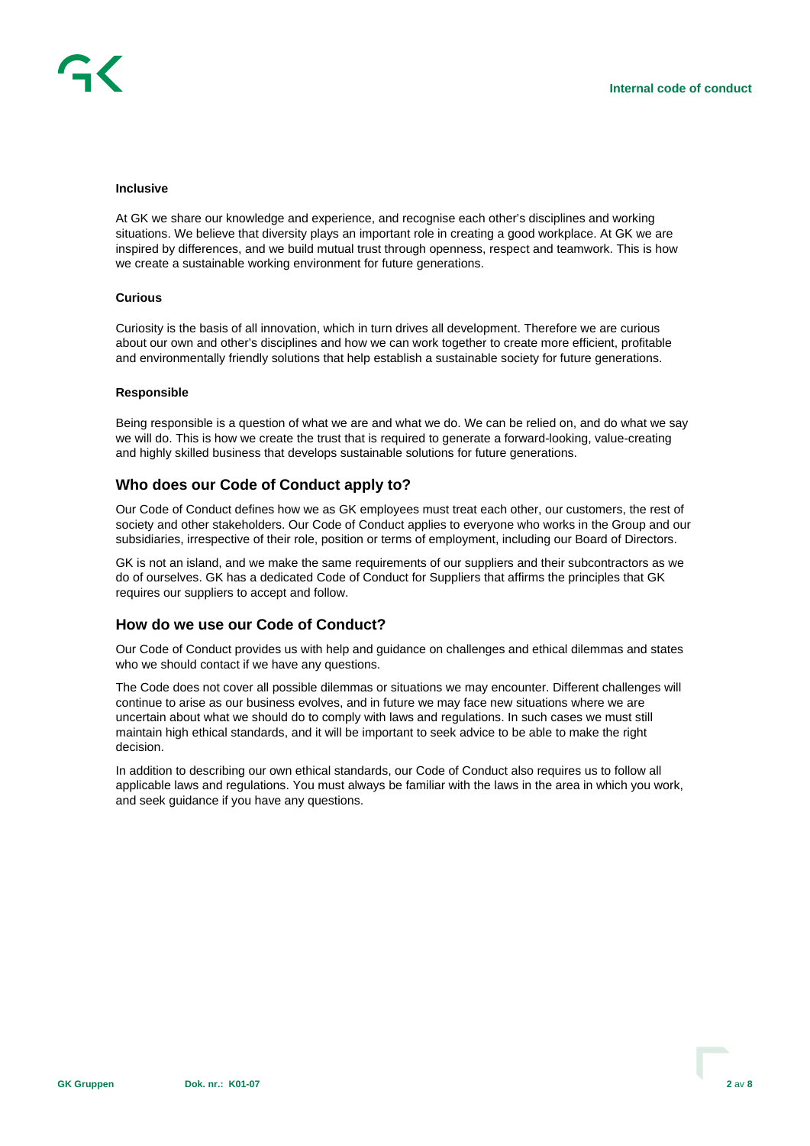#### **Inclusive**

At GK we share our knowledge and experience, and recognise each other's disciplines and working situations. We believe that diversity plays an important role in creating a good workplace. At GK we are inspired by differences, and we build mutual trust through openness, respect and teamwork. This is how we create a sustainable working environment for future generations.

#### **Curious**

Curiosity is the basis of all innovation, which in turn drives all development. Therefore we are curious about our own and other's disciplines and how we can work together to create more efficient, profitable and environmentally friendly solutions that help establish a sustainable society for future generations.

#### **Responsible**

Being responsible is a question of what we are and what we do. We can be relied on, and do what we say we will do. This is how we create the trust that is required to generate a forward-looking, value-creating and highly skilled business that develops sustainable solutions for future generations.

### **Who does our Code of Conduct apply to?**

Our Code of Conduct defines how we as GK employees must treat each other, our customers, the rest of society and other stakeholders. Our Code of Conduct applies to everyone who works in the Group and our subsidiaries, irrespective of their role, position or terms of employment, including our Board of Directors.

GK is not an island, and we make the same requirements of our suppliers and their subcontractors as we do of ourselves. GK has a dedicated Code of Conduct for Suppliers that affirms the principles that GK requires our suppliers to accept and follow.

## **How do we use our Code of Conduct?**

Our Code of Conduct provides us with help and guidance on challenges and ethical dilemmas and states who we should contact if we have any questions.

The Code does not cover all possible dilemmas or situations we may encounter. Different challenges will continue to arise as our business evolves, and in future we may face new situations where we are uncertain about what we should do to comply with laws and regulations. In such cases we must still maintain high ethical standards, and it will be important to seek advice to be able to make the right decision.

In addition to describing our own ethical standards, our Code of Conduct also requires us to follow all applicable laws and regulations. You must always be familiar with the laws in the area in which you work, and seek guidance if you have any questions.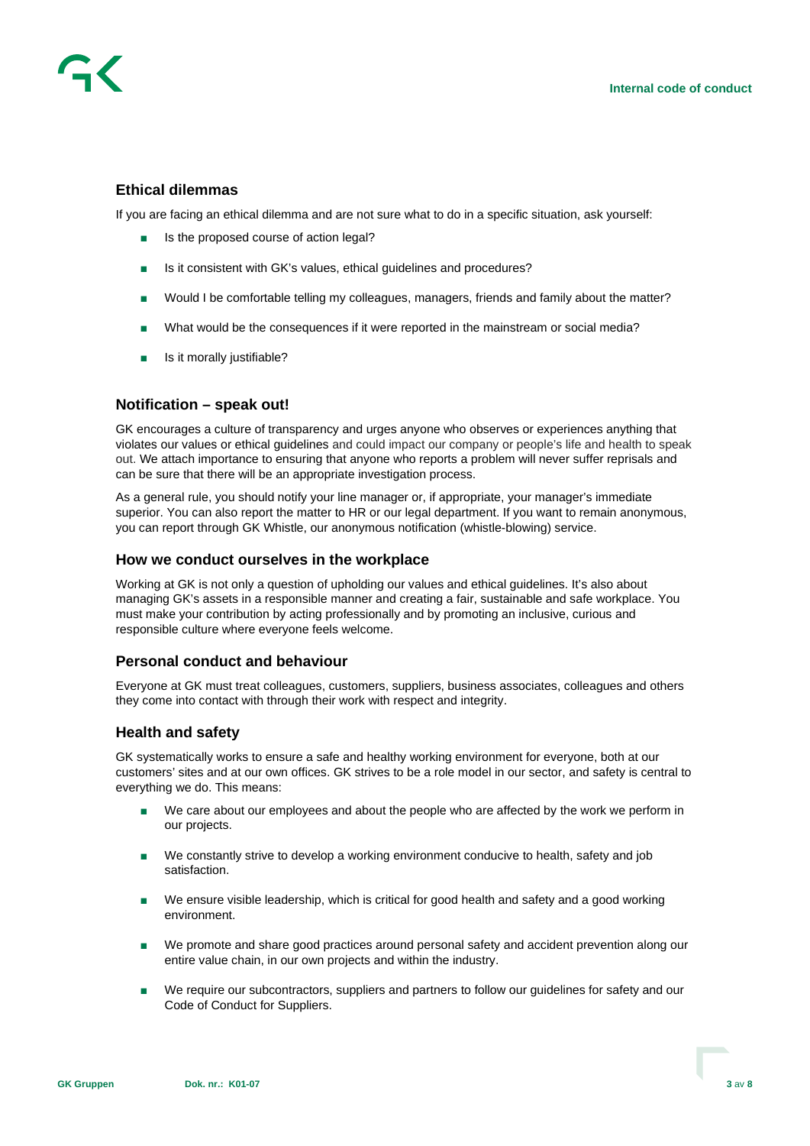# **Ethical dilemmas**

If you are facing an ethical dilemma and are not sure what to do in a specific situation, ask yourself:

- Is the proposed course of action legal?
- Is it consistent with GK's values, ethical guidelines and procedures?
- Would I be comfortable telling my colleagues, managers, friends and family about the matter?
- What would be the consequences if it were reported in the mainstream or social media?
- Is it morally justifiable?

#### **Notification – speak out!**

GK encourages a culture of transparency and urges anyone who observes or experiences anything that violates our values or ethical guidelines and could impact our company or people's life and health to speak out. We attach importance to ensuring that anyone who reports a problem will never suffer reprisals and can be sure that there will be an appropriate investigation process.

As a general rule, you should notify your line manager or, if appropriate, your manager's immediate superior. You can also report the matter to HR or our legal department. If you want to remain anonymous, you can report through GK Whistle, our anonymous notification (whistle-blowing) service.

#### **How we conduct ourselves in the workplace**

Working at GK is not only a question of upholding our values and ethical guidelines. It's also about managing GK's assets in a responsible manner and creating a fair, sustainable and safe workplace. You must make your contribution by acting professionally and by promoting an inclusive, curious and responsible culture where everyone feels welcome.

## **Personal conduct and behaviour**

Everyone at GK must treat colleagues, customers, suppliers, business associates, colleagues and others they come into contact with through their work with respect and integrity.

#### **Health and safety**

GK systematically works to ensure a safe and healthy working environment for everyone, both at our customers' sites and at our own offices. GK strives to be a role model in our sector, and safety is central to everything we do. This means:

- We care about our employees and about the people who are affected by the work we perform in our projects.
- We constantly strive to develop a working environment conducive to health, safety and job satisfaction.
- We ensure visible leadership, which is critical for good health and safety and a good working environment.
- We promote and share good practices around personal safety and accident prevention along our entire value chain, in our own projects and within the industry.
- We require our subcontractors, suppliers and partners to follow our quidelines for safety and our Code of Conduct for Suppliers.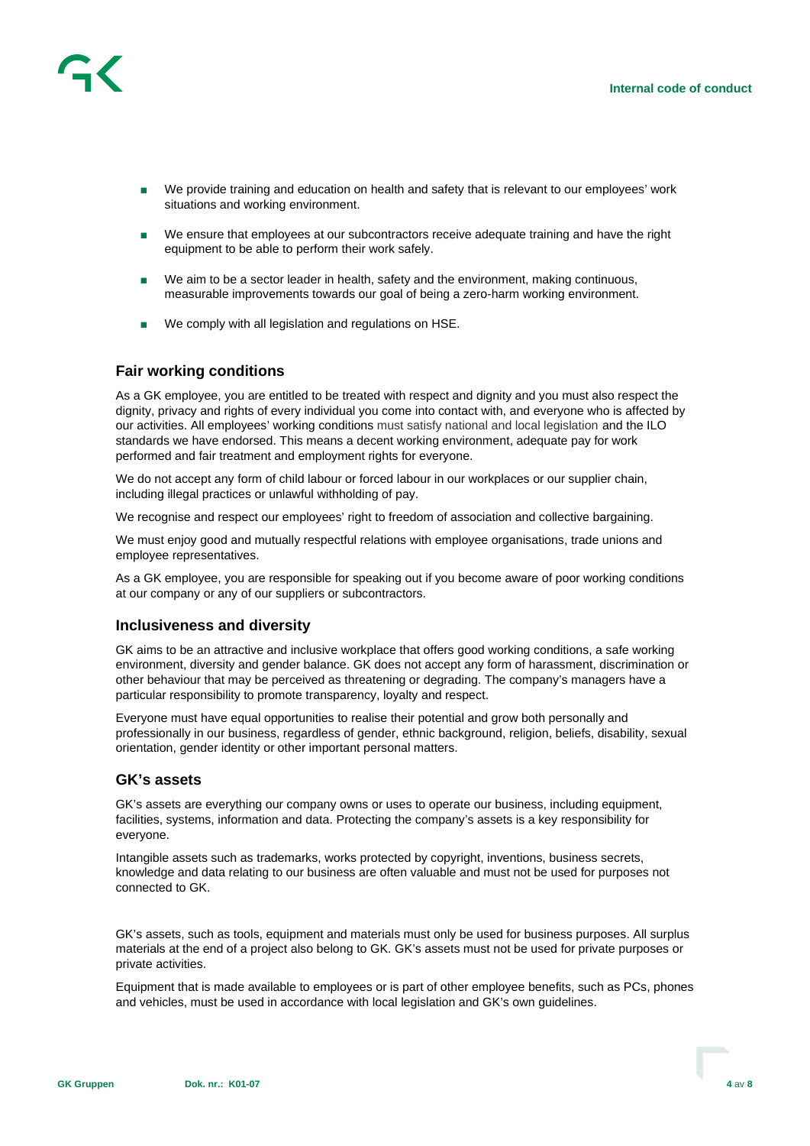

- We provide training and education on health and safety that is relevant to our employees' work situations and working environment.
- We ensure that employees at our subcontractors receive adequate training and have the right equipment to be able to perform their work safely.
- We aim to be a sector leader in health, safety and the environment, making continuous, measurable improvements towards our goal of being a zero-harm working environment.
- We comply with all legislation and regulations on HSE.

#### **Fair working conditions**

As a GK employee, you are entitled to be treated with respect and dignity and you must also respect the dignity, privacy and rights of every individual you come into contact with, and everyone who is affected by our activities. All employees' working conditions must satisfy national and local legislation and the ILO standards we have endorsed. This means a decent working environment, adequate pay for work performed and fair treatment and employment rights for everyone.

We do not accept any form of child labour or forced labour in our workplaces or our supplier chain, including illegal practices or unlawful withholding of pay.

We recognise and respect our employees' right to freedom of association and collective bargaining.

We must enjoy good and mutually respectful relations with employee organisations, trade unions and employee representatives.

As a GK employee, you are responsible for speaking out if you become aware of poor working conditions at our company or any of our suppliers or subcontractors.

#### **Inclusiveness and diversity**

GK aims to be an attractive and inclusive workplace that offers good working conditions, a safe working environment, diversity and gender balance. GK does not accept any form of harassment, discrimination or other behaviour that may be perceived as threatening or degrading. The company's managers have a particular responsibility to promote transparency, loyalty and respect.

Everyone must have equal opportunities to realise their potential and grow both personally and professionally in our business, regardless of gender, ethnic background, religion, beliefs, disability, sexual orientation, gender identity or other important personal matters.

#### **GK's assets**

GK's assets are everything our company owns or uses to operate our business, including equipment, facilities, systems, information and data. Protecting the company's assets is a key responsibility for everyone.

Intangible assets such as trademarks, works protected by copyright, inventions, business secrets, knowledge and data relating to our business are often valuable and must not be used for purposes not connected to GK.

GK's assets, such as tools, equipment and materials must only be used for business purposes. All surplus materials at the end of a project also belong to GK. GK's assets must not be used for private purposes or private activities.

Equipment that is made available to employees or is part of other employee benefits, such as PCs, phones and vehicles, must be used in accordance with local legislation and GK's own guidelines.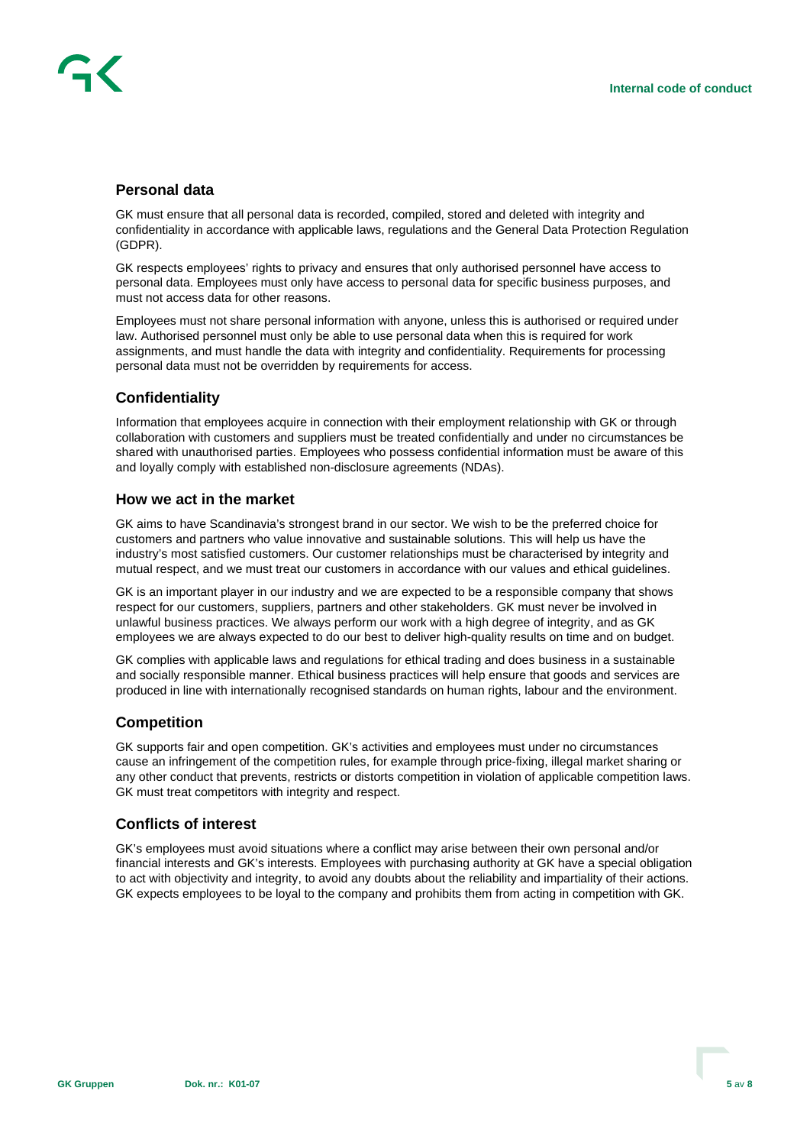# **Personal data**

GK must ensure that all personal data is recorded, compiled, stored and deleted with integrity and confidentiality in accordance with applicable laws, regulations and the General Data Protection Regulation (GDPR).

GK respects employees' rights to privacy and ensures that only authorised personnel have access to personal data. Employees must only have access to personal data for specific business purposes, and must not access data for other reasons.

Employees must not share personal information with anyone, unless this is authorised or required under law. Authorised personnel must only be able to use personal data when this is required for work assignments, and must handle the data with integrity and confidentiality. Requirements for processing personal data must not be overridden by requirements for access.

## **Confidentiality**

Information that employees acquire in connection with their employment relationship with GK or through collaboration with customers and suppliers must be treated confidentially and under no circumstances be shared with unauthorised parties. Employees who possess confidential information must be aware of this and loyally comply with established non-disclosure agreements (NDAs).

## **How we act in the market**

GK aims to have Scandinavia's strongest brand in our sector. We wish to be the preferred choice for customers and partners who value innovative and sustainable solutions. This will help us have the industry's most satisfied customers. Our customer relationships must be characterised by integrity and mutual respect, and we must treat our customers in accordance with our values and ethical guidelines.

GK is an important player in our industry and we are expected to be a responsible company that shows respect for our customers, suppliers, partners and other stakeholders. GK must never be involved in unlawful business practices. We always perform our work with a high degree of integrity, and as GK employees we are always expected to do our best to deliver high-quality results on time and on budget.

GK complies with applicable laws and regulations for ethical trading and does business in a sustainable and socially responsible manner. Ethical business practices will help ensure that goods and services are produced in line with internationally recognised standards on human rights, labour and the environment.

#### **Competition**

GK supports fair and open competition. GK's activities and employees must under no circumstances cause an infringement of the competition rules, for example through price-fixing, illegal market sharing or any other conduct that prevents, restricts or distorts competition in violation of applicable competition laws. GK must treat competitors with integrity and respect.

#### **Conflicts of interest**

GK's employees must avoid situations where a conflict may arise between their own personal and/or financial interests and GK's interests. Employees with purchasing authority at GK have a special obligation to act with objectivity and integrity, to avoid any doubts about the reliability and impartiality of their actions. GK expects employees to be loyal to the company and prohibits them from acting in competition with GK.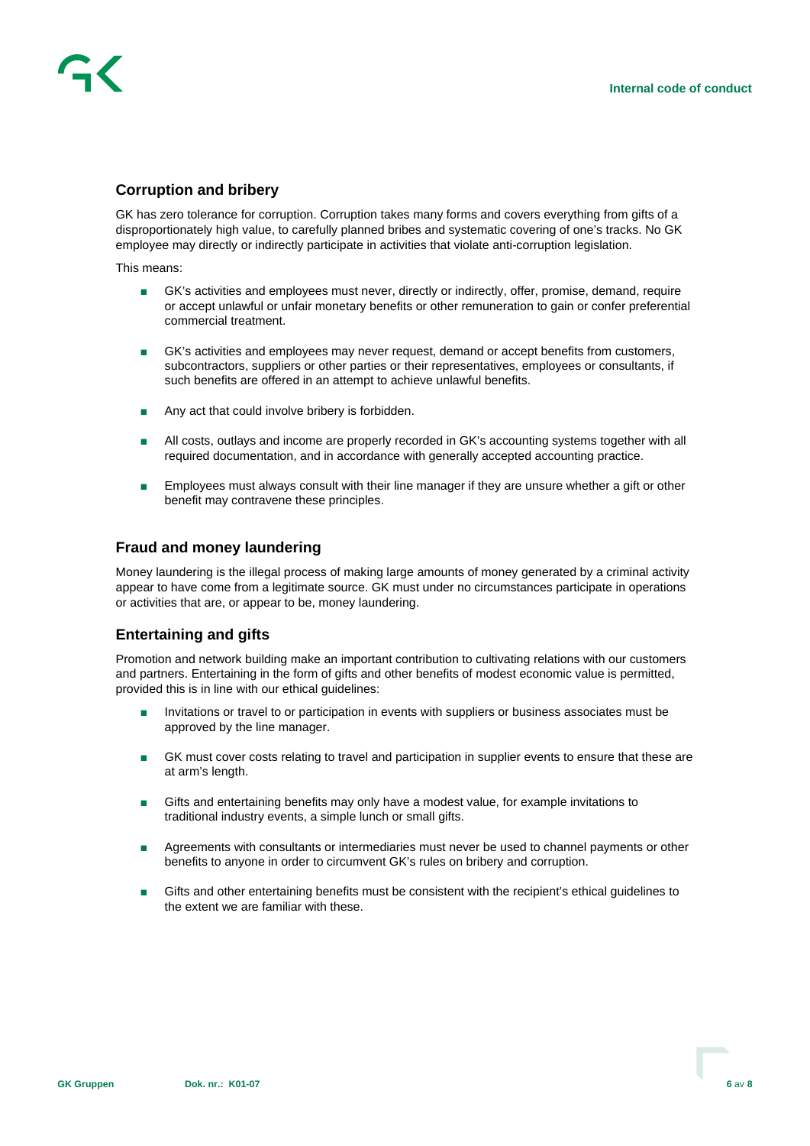

# **Corruption and bribery**

GK has zero tolerance for corruption. Corruption takes many forms and covers everything from gifts of a disproportionately high value, to carefully planned bribes and systematic covering of one's tracks. No GK employee may directly or indirectly participate in activities that violate anti-corruption legislation.

This means:

- GK's activities and employees must never, directly or indirectly, offer, promise, demand, require or accept unlawful or unfair monetary benefits or other remuneration to gain or confer preferential commercial treatment.
- GK's activities and employees may never request, demand or accept benefits from customers, subcontractors, suppliers or other parties or their representatives, employees or consultants, if such benefits are offered in an attempt to achieve unlawful benefits.
- Any act that could involve bribery is forbidden.
- All costs, outlays and income are properly recorded in GK's accounting systems together with all required documentation, and in accordance with generally accepted accounting practice.
- Employees must always consult with their line manager if they are unsure whether a gift or other benefit may contravene these principles.

## **Fraud and money laundering**

Money laundering is the illegal process of making large amounts of money generated by a criminal activity appear to have come from a legitimate source. GK must under no circumstances participate in operations or activities that are, or appear to be, money laundering.

# **Entertaining and gifts**

Promotion and network building make an important contribution to cultivating relations with our customers and partners. Entertaining in the form of gifts and other benefits of modest economic value is permitted, provided this is in line with our ethical guidelines:

- Invitations or travel to or participation in events with suppliers or business associates must be approved by the line manager.
- GK must cover costs relating to travel and participation in supplier events to ensure that these are at arm's length.
- Gifts and entertaining benefits may only have a modest value, for example invitations to traditional industry events, a simple lunch or small gifts.
- Agreements with consultants or intermediaries must never be used to channel payments or other benefits to anyone in order to circumvent GK's rules on bribery and corruption.
- Gifts and other entertaining benefits must be consistent with the recipient's ethical guidelines to the extent we are familiar with these.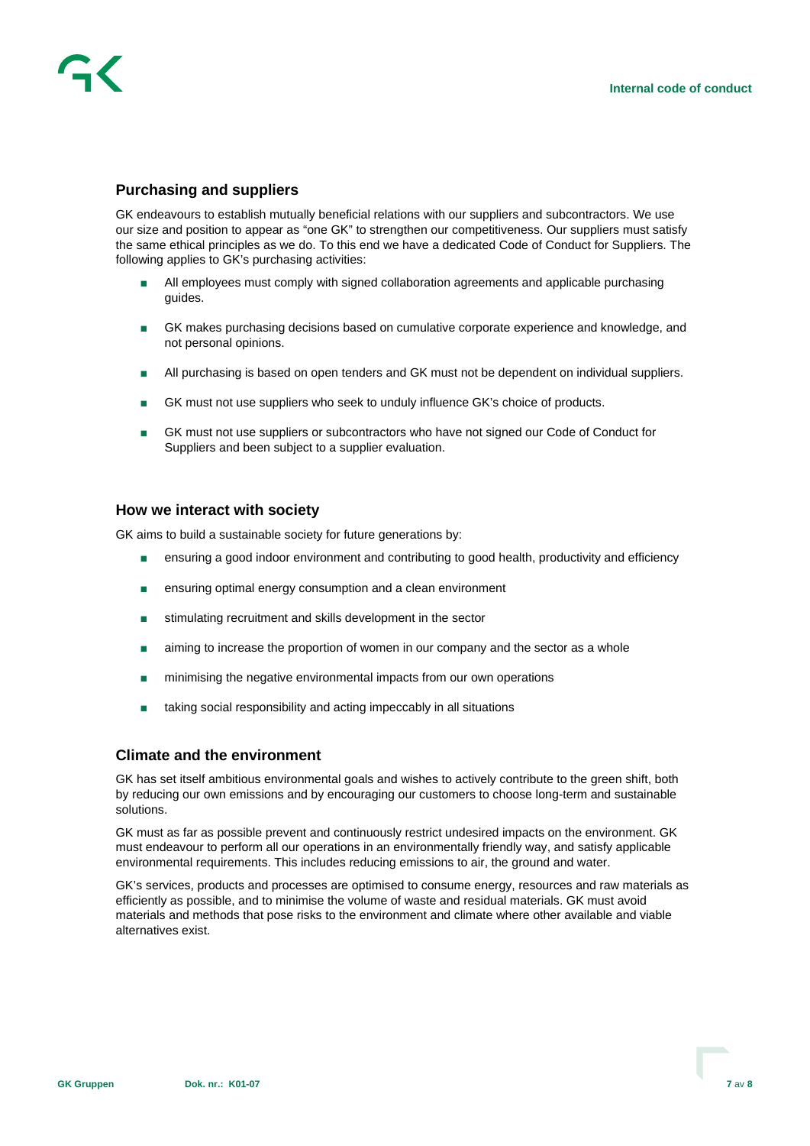

# **Purchasing and suppliers**

GK endeavours to establish mutually beneficial relations with our suppliers and subcontractors. We use our size and position to appear as "one GK" to strengthen our competitiveness. Our suppliers must satisfy the same ethical principles as we do. To this end we have a dedicated Code of Conduct for Suppliers. The following applies to GK's purchasing activities:

- All employees must comply with signed collaboration agreements and applicable purchasing guides.
- GK makes purchasing decisions based on cumulative corporate experience and knowledge, and not personal opinions.
- All purchasing is based on open tenders and GK must not be dependent on individual suppliers.
- GK must not use suppliers who seek to unduly influence GK's choice of products.
- GK must not use suppliers or subcontractors who have not signed our Code of Conduct for Suppliers and been subject to a supplier evaluation.

### **How we interact with society**

GK aims to build a sustainable society for future generations by:

- ensuring a good indoor environment and contributing to good health, productivity and efficiency
- ensuring optimal energy consumption and a clean environment
- stimulating recruitment and skills development in the sector
- aiming to increase the proportion of women in our company and the sector as a whole
- minimising the negative environmental impacts from our own operations
- taking social responsibility and acting impeccably in all situations

#### **Climate and the environment**

GK has set itself ambitious environmental goals and wishes to actively contribute to the green shift, both by reducing our own emissions and by encouraging our customers to choose long-term and sustainable solutions.

GK must as far as possible prevent and continuously restrict undesired impacts on the environment. GK must endeavour to perform all our operations in an environmentally friendly way, and satisfy applicable environmental requirements. This includes reducing emissions to air, the ground and water.

GK's services, products and processes are optimised to consume energy, resources and raw materials as efficiently as possible, and to minimise the volume of waste and residual materials. GK must avoid materials and methods that pose risks to the environment and climate where other available and viable alternatives exist.